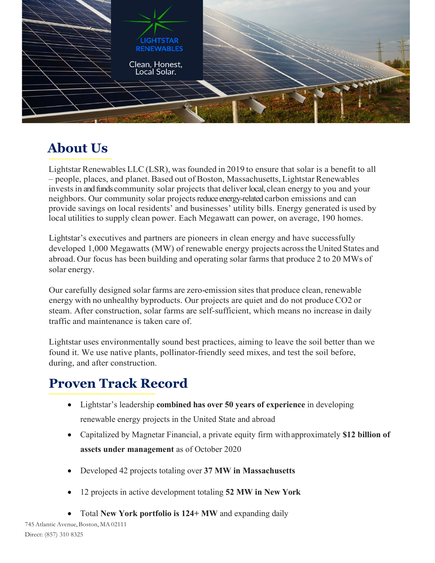

# **About Us**

Lightstar Renewables LLC (LSR), wasfounded in 2019 to ensure that solar is a benefit to all – people, places, and planet. Based out of Boston, Massachusetts, Lightstar Renewables investsin and funds community solar projects that deliver local, clean energy to you and your neighbors. Our community solar projects reduce energy-related carbon emissions and can provide savings on local residents' and businesses' utility bills. Energy generated is used by local utilities to supply clean power. Each Megawatt can power, on average, 190 homes.

Lightstar's executives and partners are pioneers in clean energy and have successfully developed 1,000 Megawatts (MW) of renewable energy projects acrossthe United States and abroad. Our focus has been building and operating solar farms that produce 2 to 20 MWs of solar energy.

Our carefully designed solar farms are zero-emission sites that produce clean, renewable energy with no unhealthy byproducts. Our projects are quiet and do not produce CO2 or steam. After construction, solar farms are self-sufficient, which means no increase in daily traffic and maintenance is taken care of.

Lightstar uses environmentally sound best practices, aiming to leave the soil better than we found it. We use native plants, pollinator-friendly seed mixes, and test the soil before, during, and after construction.

# **Proven Track Record**

- Lightstar's leadership **combined has over 50 years of experience** in developing renewable energy projects in the United State and abroad
- Capitalized by Magnetar Financial, a private equity firm with approximately **\$12 billion of assets under management** as of October 2020
- Developed 42 projects totaling over **37 MW in Massachusetts**
- 12 projects in active development totaling **52 MW in New York**
- Total **New York portfolio is 124+ MW** and expanding daily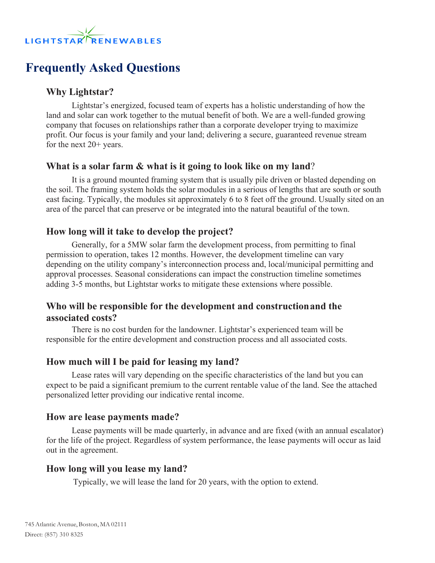

## **Frequently Asked Questions**

## **Why Lightstar?**

Lightstar's energized, focused team of experts has a holistic understanding of how the land and solar can work together to the mutual benefit of both. We are a well-funded growing company that focuses on relationships rather than a corporate developer trying to maximize profit. Our focus is your family and your land; delivering a secure, guaranteed revenue stream for the next 20+ years.

#### **What is a solar farm & what is it going to look like on my land**?

It is a ground mounted framing system that is usually pile driven or blasted depending on the soil. The framing system holds the solar modules in a serious of lengths that are south or south east facing. Typically, the modules sit approximately 6 to 8 feet off the ground. Usually sited on an area of the parcel that can preserve or be integrated into the natural beautiful of the town.

## **How long will it take to develop the project?**

Generally, for a 5MW solar farm the development process, from permitting to final permission to operation, takes 12 months. However, the development timeline can vary depending on the utility company's interconnection process and, local/municipal permitting and approval processes. Seasonal considerations can impact the construction timeline sometimes adding 3-5 months, but Lightstar works to mitigate these extensions where possible.

## **Who will be responsible for the development and constructionand the associated costs?**

There is no cost burden for the landowner. Lightstar's experienced team will be responsible for the entire development and construction process and all associated costs.

## **How much will I be paid for leasing my land?**

Lease rates will vary depending on the specific characteristics of the land but you can expect to be paid a significant premium to the current rentable value of the land. See the attached personalized letter providing our indicative rental income.

#### **How are lease payments made?**

Lease payments will be made quarterly, in advance and are fixed (with an annual escalator) for the life of the project. Regardless of system performance, the lease payments will occur as laid out in the agreement.

## **How long will you lease my land?**

Typically, we will lease the land for 20 years, with the option to extend.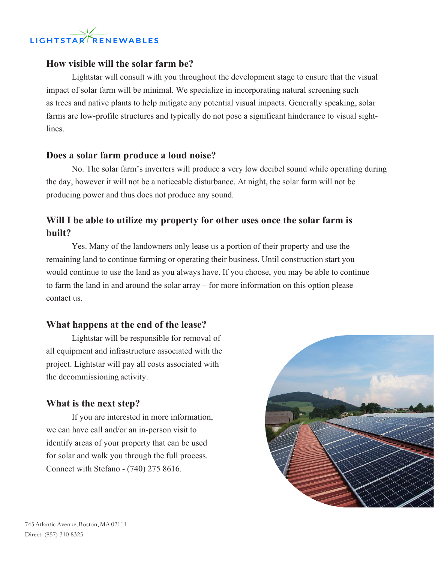

## **How visible will the solar farm be?**

Lightstar will consult with you throughout the development stage to ensure that the visual impact of solar farm will be minimal. We specialize in incorporating natural screening such as trees and native plants to help mitigate any potential visual impacts. Generally speaking, solar farms are low-profile structures and typically do not pose a significant hinderance to visual sightlines.

## **Does a solar farm produce a loud noise?**

No. The solar farm's inverters will produce a very low decibel sound while operating during the day, however it will not be a noticeable disturbance. At night, the solar farm will not be producing power and thus does not produce any sound.

## **Will I be able to utilize my property for other uses once the solar farm is built?**

Yes. Many of the landowners only lease us a portion of their property and use the remaining land to continue farming or operating their business. Until construction start you would continue to use the land as you always have. If you choose, you may be able to continue to farm the land in and around the solar array – for more information on this option please contact us.

## **What happens at the end of the lease?**

Lightstar will be responsible for removal of all equipment and infrastructure associated with the project. Lightstar will pay all costs associated with the decommissioning activity.

## **What is the next step?**

If you are interested in more information, we can have call and/or an in-person visit to identify areas of your property that can be used for solar and walk you through the full process. Connect with Stefano - (740) 275 8616.